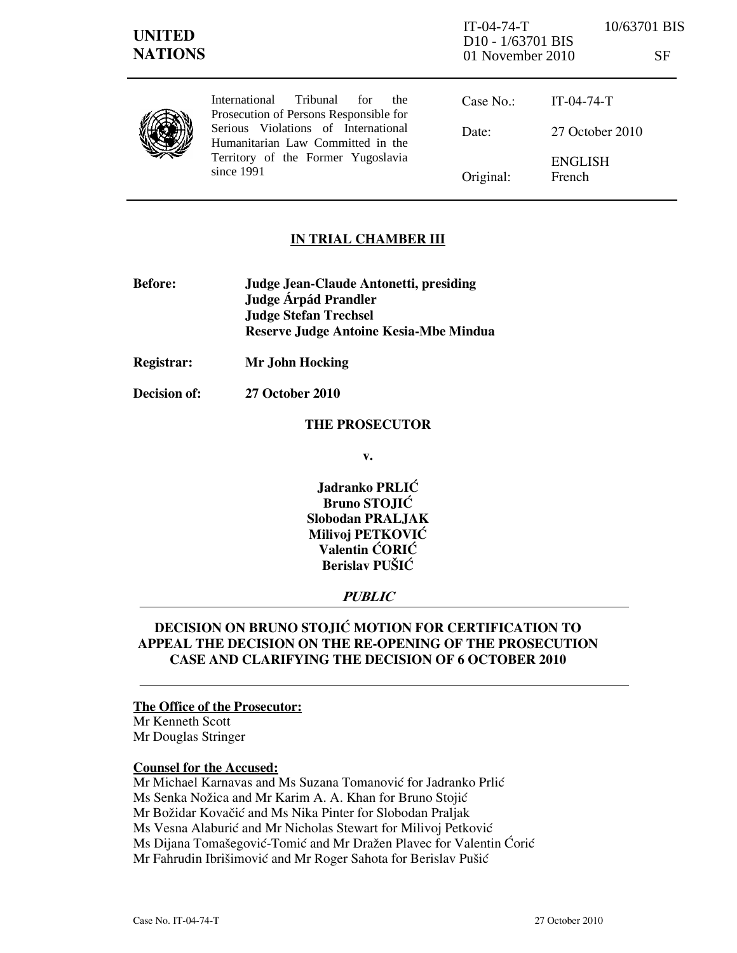| <b>UNITED</b><br><b>NATIONS</b> |                                                                                                                                                                                                                           | $IT-04-74-T$<br>D <sub>10</sub> - 1/63701 BIS<br>01 November 2010 |                          | 10/63701 BIS<br>SF |
|---------------------------------|---------------------------------------------------------------------------------------------------------------------------------------------------------------------------------------------------------------------------|-------------------------------------------------------------------|--------------------------|--------------------|
|                                 | Tribunal<br><i>International</i><br>for<br>the.<br>Prosecution of Persons Responsible for<br>Serious Violations of International<br>Humanitarian Law Committed in the<br>Territory of the Former Yugoslavia<br>since 1991 | Case No.:                                                         | $IT-04-74-T$             |                    |
|                                 |                                                                                                                                                                                                                           | Date:                                                             | 27 October 2010          |                    |
|                                 |                                                                                                                                                                                                                           | Original:                                                         | <b>ENGLISH</b><br>French |                    |

# IN TRIAL CHAMBER III

- Before: Judge Jean-Claude Antonetti, presiding Judge **Árpád Prandler**  Judge Stefan Trechsel Reserve Judge Antoine Kesia-Mbe Mindua
- Registrar: Mr John Hocking
- Decision of: 27 October 2010

#### THE PROSECUTOR

v.

Jadranko PRLIĆ Bruno STOJIĆ Slobodan PRALJAK Milivoj PETKOVIĆ Valentin ĆORIĆ Berislav PUŠIĆ

# PUBLIC

# DECISION ON BRUNO STOJIĆ MOTION FOR CERTIFICATION TO APPEAL THE DECISION ON THE RE-OPENING OF THE PROSECUTION CASE AND CLARIFYING THE DECISION OF 6 OCTOBER 2010

#### The Office of the Prosecutor:

Mr Kenneth Scott Mr Douglas Stringer

#### Counsel for the Accused:

Mr Michael Karnavas and Ms Suzana Tomanović for Jadranko Prlić Ms Senka Nožica and Mr Karim A. A. Khan for Bruno Stojić Mr Božidar Kovačić and Ms Nika Pinter for Slobodan Praljak Ms Vesna Alaburić and Mr Nicholas Stewart for Milivoj Petković Ms Dijana Tomašegović-Tomić and Mr Dražen Plavec for Valentin Ćorić Mr Fahrudin Ibrišimović and Mr Roger Sahota for Berislav Pušić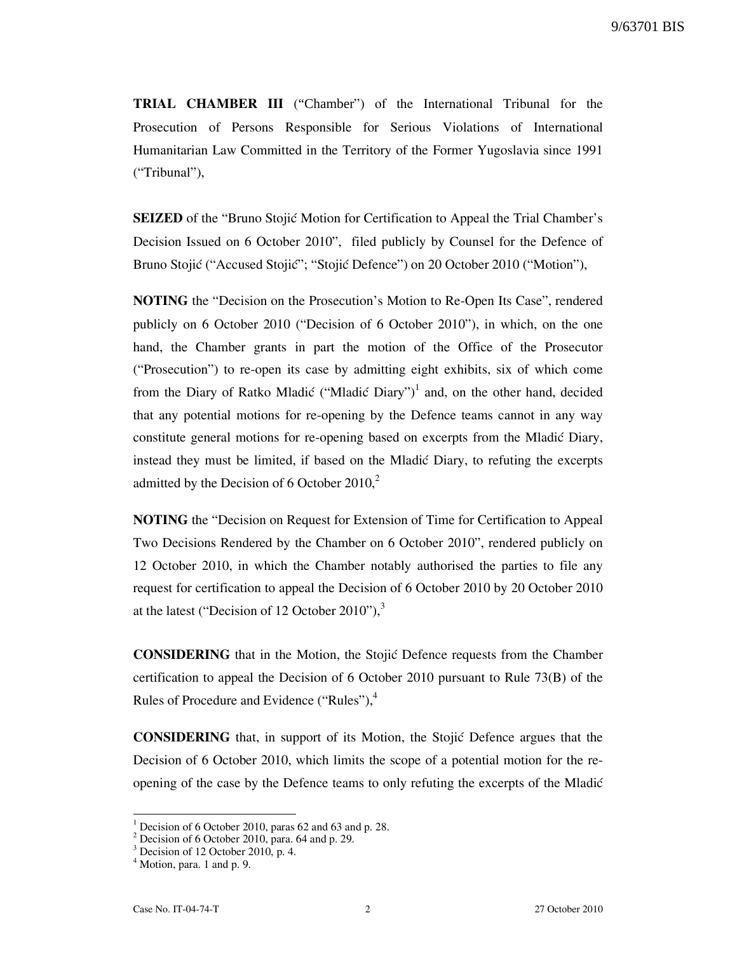TRIAL CHAMBER III ("Chamber") of the International Tribunal for the Prosecution of Persons Responsible for Serious Violations of International Humanitarian Law Committed in the Territory of the Former Yugoslavia since 1991 ("Tribunal"),

**SEIZED** of the "Bruno Stojic Motion for Certification to Appeal the Trial Chamber's Decision Issued on 6 October 2010", filed publicly by Counsel for the Defence of Bruno Stojić ("Accused Stojić"; "Stojić Defence") on 20 October 2010 ("Motion"),

NOTING the "Decision on the Prosecution's Motion to Re-Open Its Case", rendered publicly on 6 October 2010 ("Decision of 6 October 2010"), in which, on the one hand, the Chamber grants in part the motion of the Office of the Prosecutor ("Prosecution") to re-open its case by admitting eight exhibits, six of which come from the Diary of Ratko Mladić ("Mladić Diary")<sup>1</sup> and, on the other hand, decided that any potential motions for re-opening by the Defence teams cannot in any way constitute general motions for re-opening based on excerpts from the Mladic Diary, instead they must be limited, if based on the Mladić Diary, to refuting the excerpts admitted by the Decision of 6 October  $2010<sub>1</sub><sup>2</sup>$ 

NOTING the "Decision on Request for Extension of Time for Certification to Appeal Two Decisions Rendered by the Chamber on 6 October 2010", rendered publicly on 12 October 2010, in which the Chamber notably authorised the parties to file any request for certification to appeal the Decision of 6 October 2010 by 20 October 2010 at the latest ("Decision of 12 October 2010"), $3$ 

CONSIDERING that in the Motion, the Stojić Defence requests from the Chamber certification to appeal the Decision of 6 October 2010 pursuant to Rule 73(B) of the Rules of Procedure and Evidence ("Rules"),<sup>4</sup>

**CONSIDERING** that, in support of its Motion, the Stojic Defence argues that the Decision of 6 October 2010, which limits the scope of a potential motion for the reopening of the case by the Defence teams to only refuting the excerpts of the Mladić

<sup>&</sup>lt;sup>1</sup> Decision of 6 October 2010, paras 62 and 63 and p. 28.

<sup>2</sup> Decision of 6 October 2010, para. 64 and p. 29.

<sup>&</sup>lt;sup>3</sup> Decision of 12 October 2010, p. 4.

<sup>&</sup>lt;sup>4</sup> Motion, para. 1 and p. 9.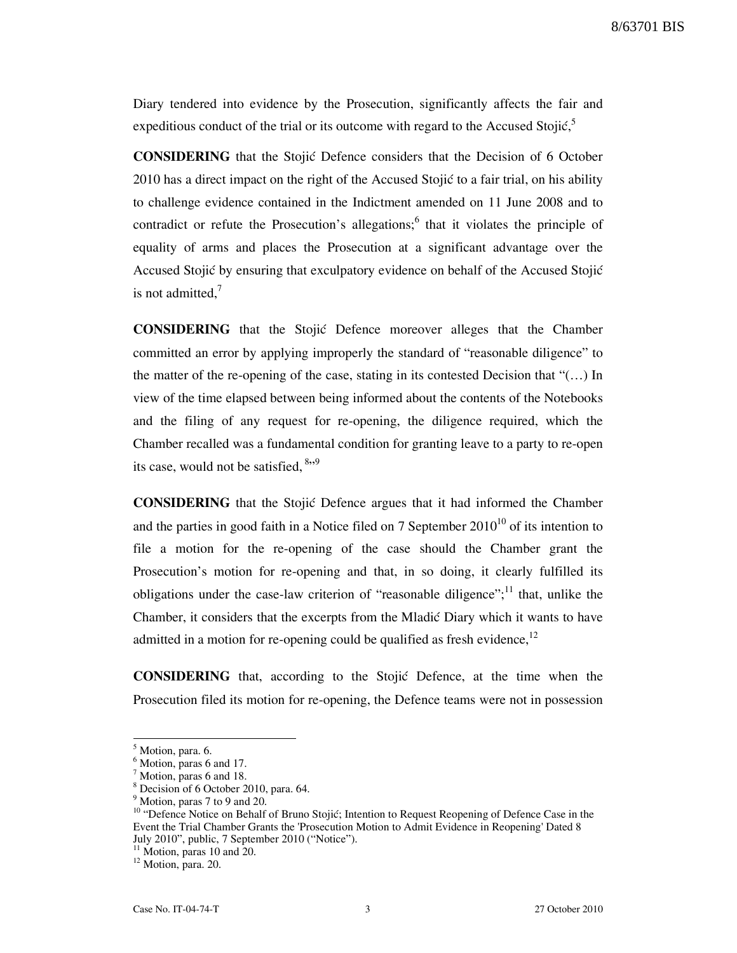Diary tendered into evidence by the Prosecution, significantly affects the fair and expeditious conduct of the trial or its outcome with regard to the Accused Stojić,<sup>5</sup>

**CONSIDERING** that the Stojic Defence considers that the Decision of 6 October 2010 has a direct impact on the right of the Accused Stojić to a fair trial, on his ability to challenge evidence contained in the Indictment amended on 11 June 2008 and to contradict or refute the Prosecution's allegations;<sup>6</sup> that it violates the principle of equality of arms and places the Prosecution at a significant advantage over the Accused Stojić by ensuring that exculpatory evidence on behalf of the Accused Stojić is not admitted, $<sup>7</sup>$ </sup>

CONSIDERING that the Stojić Defence moreover alleges that the Chamber committed an error by applying improperly the standard of "reasonable diligence" to the matter of the re-opening of the case, stating in its contested Decision that " $(...)$  In view of the time elapsed between being informed about the contents of the Notebooks and the filing of any request for re-opening, the diligence required, which the Chamber recalled was a fundamental condition for granting leave to a party to re-open its case, would not be satisfied,  $8,9$ 

CONSIDERING that the Stojić Defence argues that it had informed the Chamber and the parties in good faith in a Notice filed on 7 September  $2010^{10}$  of its intention to file a motion for the re-opening of the case should the Chamber grant the Prosecution's motion for re-opening and that, in so doing, it clearly fulfilled its obligations under the case-law criterion of "reasonable diligence";<sup>11</sup> that, unlike the Chamber, it considers that the excerpts from the Mladić Diary which it wants to have admitted in a motion for re-opening could be qualified as fresh evidence,  $12$ 

**CONSIDERING** that, according to the Stojic Defence, at the time when the Prosecution filed its motion for re-opening, the Defence teams were not in possession

<sup>&</sup>lt;sup>5</sup> Motion, para. 6.

<sup>&</sup>lt;sup>6</sup> Motion, paras 6 and 17.

<sup>&</sup>lt;sup>7</sup> Motion, paras 6 and 18.

<sup>8</sup> Decision of 6 October 2010, para. 64.

<sup>&</sup>lt;sup>9</sup> Motion, paras 7 to 9 and 20.

<sup>&</sup>lt;sup>10</sup> "Defence Notice on Behalf of Bruno Stojić; Intention to Request Reopening of Defence Case in the Event the Trial Chamber Grants the 'Prosecution Motion to Admit Evidence in Reopening' Dated 8 July 2010", public, 7 September 2010 ("Notice").

 $11$  Motion, paras 10 and 20.

 $12$  Motion, para. 20.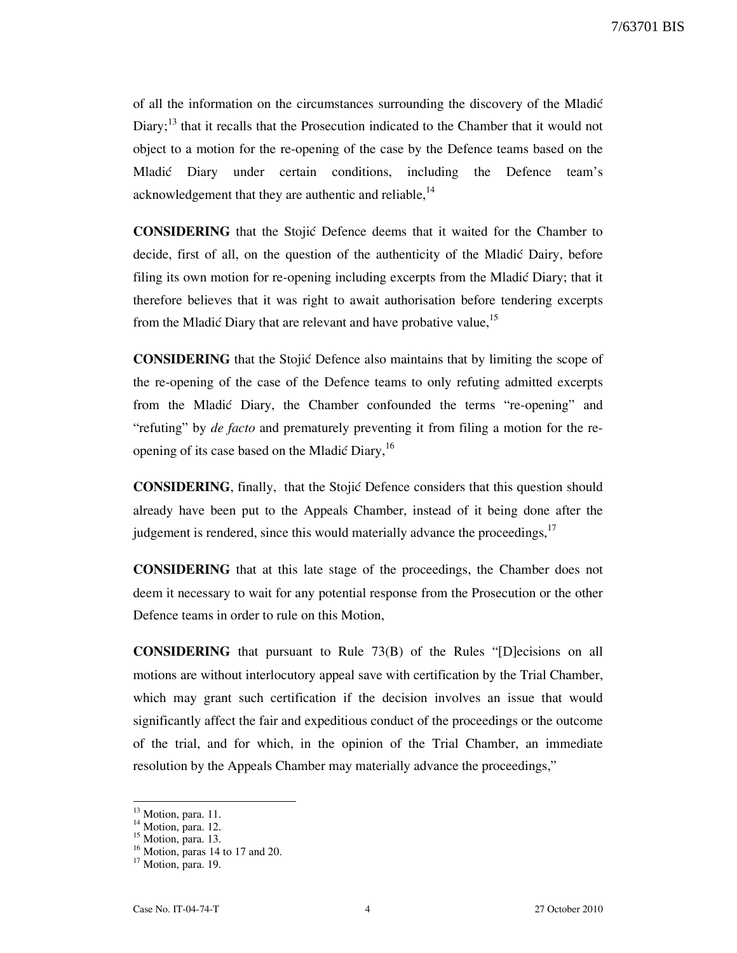of all the information on the circumstances surrounding the discovery of the Mladi} Diary;<sup>13</sup> that it recalls that the Prosecution indicated to the Chamber that it would not object to a motion for the re-opening of the case by the Defence teams based on the Mladić Diary under certain conditions, including the Defence team's acknowledgement that they are authentic and reliable,<sup>14</sup>

CONSIDERING that the Stojić Defence deems that it waited for the Chamber to decide, first of all, on the question of the authenticity of the Mladić Dairy, before filing its own motion for re-opening including excerpts from the Mladić Diary; that it therefore believes that it was right to await authorisation before tendering excerpts from the Mladić Diary that are relevant and have probative value,<sup>15</sup>

**CONSIDERING** that the Stojić Defence also maintains that by limiting the scope of the re-opening of the case of the Defence teams to only refuting admitted excerpts from the Mladić Diary, the Chamber confounded the terms "re-opening" and "refuting" by *de facto* and prematurely preventing it from filing a motion for the reopening of its case based on the Mladić Diary,<sup>16</sup>

**CONSIDERING**, finally, that the Stojić Defence considers that this question should already have been put to the Appeals Chamber, instead of it being done after the judgement is rendered, since this would materially advance the proceedings,<sup>17</sup>

CONSIDERING that at this late stage of the proceedings, the Chamber does not deem it necessary to wait for any potential response from the Prosecution or the other Defence teams in order to rule on this Motion,

CONSIDERING that pursuant to Rule 73(B) of the Rules "[D]ecisions on all motions are without interlocutory appeal save with certification by the Trial Chamber, which may grant such certification if the decision involves an issue that would significantly affect the fair and expeditious conduct of the proceedings or the outcome of the trial, and for which, in the opinion of the Trial Chamber, an immediate resolution by the Appeals Chamber may materially advance the proceedings,"

<sup>&</sup>lt;sup>13</sup> Motion, para. 11.

 $14$  Motion, para. 12.

<sup>&</sup>lt;sup>15</sup> Motion, para. 13.

 $16$  Motion, paras 14 to 17 and 20.

 $17$  Motion, para. 19.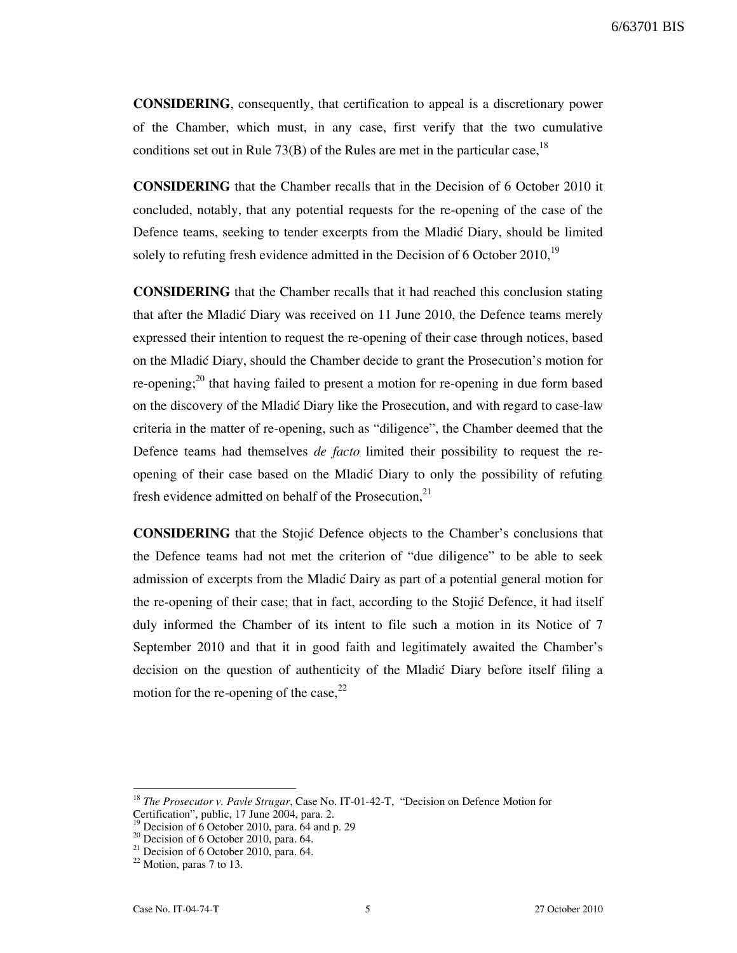6/63701 BIS

CONSIDERING, consequently, that certification to appeal is a discretionary power of the Chamber, which must, in any case, first verify that the two cumulative conditions set out in Rule 73(B) of the Rules are met in the particular case,  $18$ 

CONSIDERING that the Chamber recalls that in the Decision of 6 October 2010 it concluded, notably, that any potential requests for the re-opening of the case of the Defence teams, seeking to tender excerpts from the Mladić Diary, should be limited solely to refuting fresh evidence admitted in the Decision of  $6$  October 2010,<sup>19</sup>

CONSIDERING that the Chamber recalls that it had reached this conclusion stating that after the Mladić Diary was received on 11 June 2010, the Defence teams merely expressed their intention to request the re-opening of their case through notices, based on the Mladić Diary, should the Chamber decide to grant the Prosecution's motion for re-opening; $^{20}$  that having failed to present a motion for re-opening in due form based on the discovery of the Mladić Diary like the Prosecution, and with regard to case-law criteria in the matter of re-opening, such as "diligence", the Chamber deemed that the Defence teams had themselves *de facto* limited their possibility to request the reopening of their case based on the Mladić Diary to only the possibility of refuting fresh evidence admitted on behalf of the Prosecution,<sup>21</sup>

**CONSIDERING** that the Stojic Defence objects to the Chamber's conclusions that the Defence teams had not met the criterion of "due diligence" to be able to seek admission of excerpts from the Mladić Dairy as part of a potential general motion for the re-opening of their case; that in fact, according to the Stojić Defence, it had itself duly informed the Chamber of its intent to file such a motion in its Notice of 7 September 2010 and that it in good faith and legitimately awaited the Chamber's decision on the question of authenticity of the Mladić Diary before itself filing a motion for the re-opening of the case,  $2^2$ 

 $18$  The Prosecutor v. Pavle Strugar, Case No. IT-01-42-T, "Decision on Defence Motion for Certification", public,  $17 \text{ June } 2004$ , para. 2.

Decision of  $6$  October 2010, para.  $64$  and p. 29

 $20$  Decision of 6 October 2010, para. 64.

 $21$  Decision of 6 October 2010, para. 64.

 $22$  Motion, paras 7 to 13.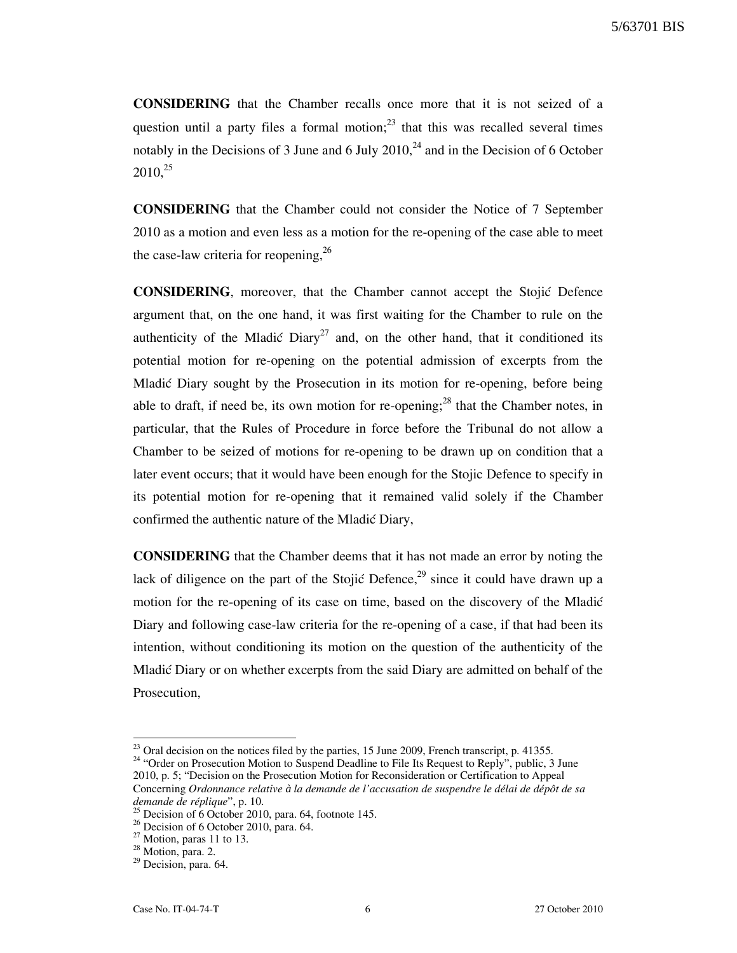CONSIDERING that the Chamber recalls once more that it is not seized of a question until a party files a formal motion; $^{23}$  that this was recalled several times notably in the Decisions of 3 June and 6 July  $2010<sup>24</sup>$  and in the Decision of 6 October  $2010.<sup>25</sup>$ 

CONSIDERING that the Chamber could not consider the Notice of 7 September 2010 as a motion and even less as a motion for the re-opening of the case able to meet the case-law criteria for reopening,  $2<sup>6</sup>$ 

CONSIDERING, moreover, that the Chamber cannot accept the Stojić Defence argument that, on the one hand, it was first waiting for the Chamber to rule on the authenticity of the Mladić Diary<sup>27</sup> and, on the other hand, that it conditioned its potential motion for re-opening on the potential admission of excerpts from the Mladić Diary sought by the Prosecution in its motion for re-opening, before being able to draft, if need be, its own motion for re-opening;<sup>28</sup> that the Chamber notes, in particular, that the Rules of Procedure in force before the Tribunal do not allow a Chamber to be seized of motions for re-opening to be drawn up on condition that a later event occurs; that it would have been enough for the Stojic Defence to specify in its potential motion for re-opening that it remained valid solely if the Chamber confirmed the authentic nature of the Mladić Diary,

CONSIDERING that the Chamber deems that it has not made an error by noting the lack of diligence on the part of the Stojić Defence, $29$  since it could have drawn up a motion for the re-opening of its case on time, based on the discovery of the Mladić Diary and following case-law criteria for the re-opening of a case, if that had been its intention, without conditioning its motion on the question of the authenticity of the Mladić Diary or on whether excerpts from the said Diary are admitted on behalf of the Prosecution,

 $\overline{\phantom{a}}$ 

 $2<sup>23</sup>$  Oral decision on the notices filed by the parties, 15 June 2009, French transcript, p. 41355.

<sup>&</sup>lt;sup>24</sup> "Order on Prosecution Motion to Suspend Deadline to File Its Request to Reply", public, 3 June 2010, p. 5; "Decision on the Prosecution Motion for Reconsideration or Certification to Appeal Concerning Ordonnance relative *à* la demande de l'accusation de suspendre le délai de dépôt de sa  $d$ emande de réplique", p. 10.

Decision of 6 October 2010, para. 64, footnote 145.

 $26$  Decision of 6 October 2010, para. 64.

 $27$  Motion, paras 11 to 13.

<sup>&</sup>lt;sup>28</sup> Motion, para. 2.

<sup>&</sup>lt;sup>29</sup> Decision, para. 64.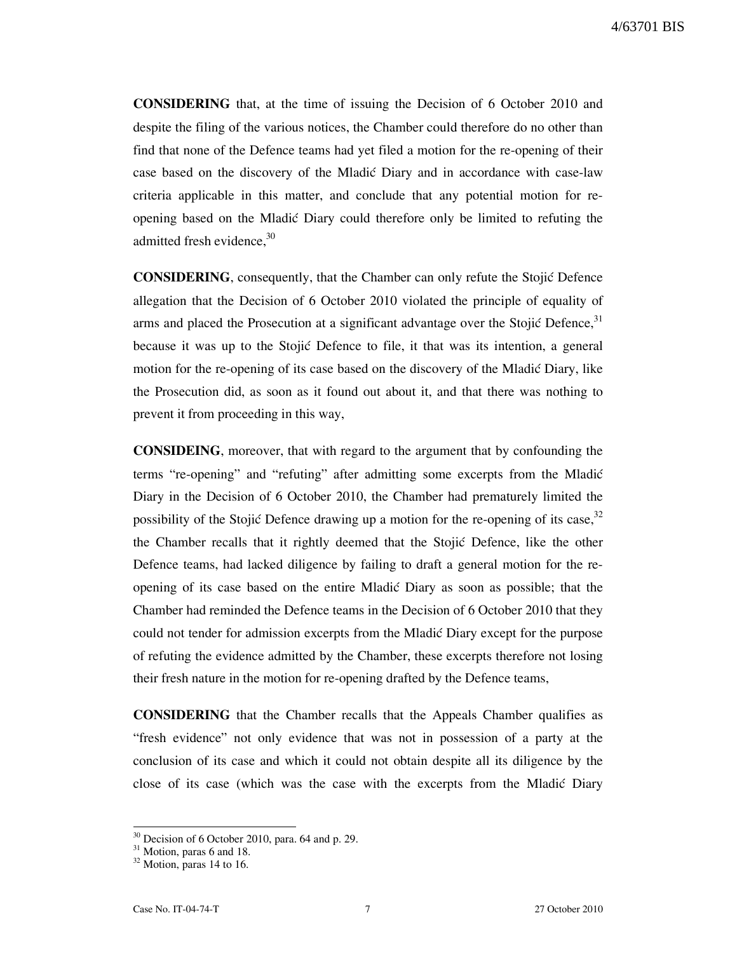CONSIDERING that, at the time of issuing the Decision of 6 October 2010 and despite the filing of the various notices, the Chamber could therefore do no other than find that none of the Defence teams had yet filed a motion for the re-opening of their case based on the discovery of the Mladic Diary and in accordance with case-law criteria applicable in this matter, and conclude that any potential motion for reopening based on the Mladić Diary could therefore only be limited to refuting the admitted fresh evidence. $30$ 

**CONSIDERING**, consequently, that the Chamber can only refute the Stojić Defence allegation that the Decision of 6 October 2010 violated the principle of equality of arms and placed the Prosecution at a significant advantage over the Stojić Defence,  $31$ because it was up to the Stojić Defence to file, it that was its intention, a general motion for the re-opening of its case based on the discovery of the Mladić Diary, like the Prosecution did, as soon as it found out about it, and that there was nothing to prevent it from proceeding in this way,

CONSIDEING, moreover, that with regard to the argument that by confounding the terms "re-opening" and "refuting" after admitting some excerpts from the Mladić Diary in the Decision of 6 October 2010, the Chamber had prematurely limited the possibility of the Stojić Defence drawing up a motion for the re-opening of its case,  $32$ the Chamber recalls that it rightly deemed that the Stojić Defence, like the other Defence teams, had lacked diligence by failing to draft a general motion for the reopening of its case based on the entire Mladić Diary as soon as possible; that the Chamber had reminded the Defence teams in the Decision of 6 October 2010 that they could not tender for admission excerpts from the Mladic Diary except for the purpose of refuting the evidence admitted by the Chamber, these excerpts therefore not losing their fresh nature in the motion for re-opening drafted by the Defence teams,

CONSIDERING that the Chamber recalls that the Appeals Chamber qualifies as "fresh evidence" not only evidence that was not in possession of a party at the conclusion of its case and which it could not obtain despite all its diligence by the close of its case (which was the case with the excerpts from the Mladić Diary

 $30$  Decision of 6 October 2010, para. 64 and p. 29.

 $31$  Motion, paras 6 and 18.

<sup>&</sup>lt;sup>32</sup> Motion, paras 14 to 16.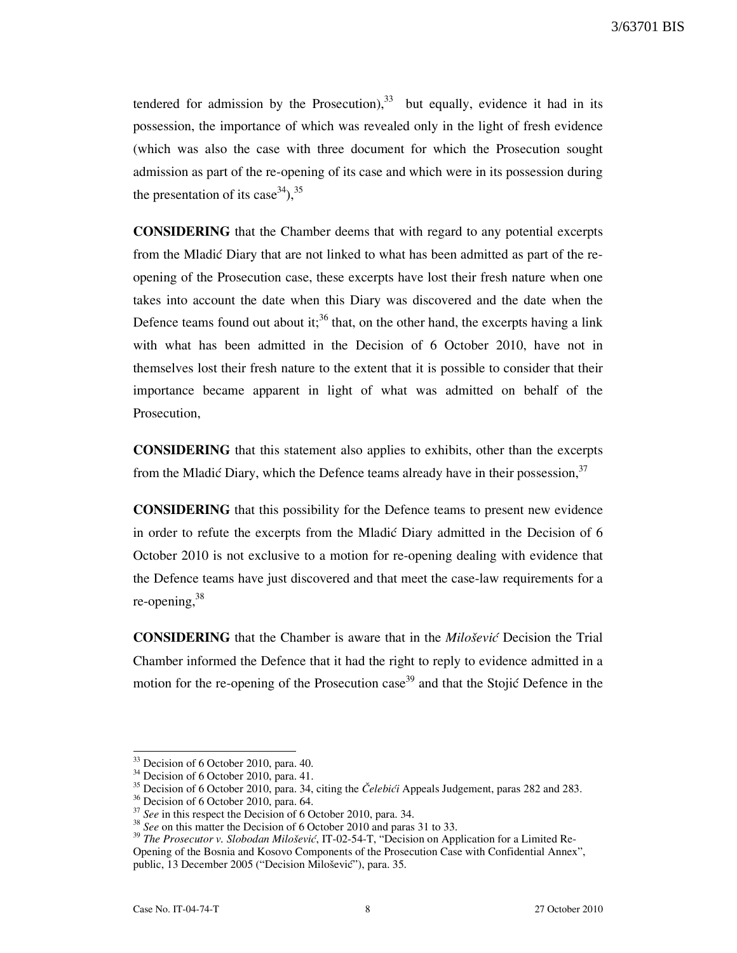tendered for admission by the Prosecution),  $33$  but equally, evidence it had in its possession, the importance of which was revealed only in the light of fresh evidence (which was also the case with three document for which the Prosecution sought admission as part of the re-opening of its case and which were in its possession during the presentation of its case  $(34)$ ,  $(35)$ 

CONSIDERING that the Chamber deems that with regard to any potential excerpts from the Mladić Diary that are not linked to what has been admitted as part of the reopening of the Prosecution case, these excerpts have lost their fresh nature when one takes into account the date when this Diary was discovered and the date when the Defence teams found out about it;<sup>36</sup> that, on the other hand, the excerpts having a link with what has been admitted in the Decision of 6 October 2010, have not in themselves lost their fresh nature to the extent that it is possible to consider that their importance became apparent in light of what was admitted on behalf of the Prosecution,

CONSIDERING that this statement also applies to exhibits, other than the excerpts from the Mladić Diary, which the Defence teams already have in their possession,  $3^{3}$ 

CONSIDERING that this possibility for the Defence teams to present new evidence in order to refute the excerpts from the Mladić Diary admitted in the Decision of 6 October 2010 is not exclusive to a motion for re-opening dealing with evidence that the Defence teams have just discovered and that meet the case-law requirements for a re-opening, 38

**CONSIDERING** that the Chamber is aware that in the *Milošević* Decision the Trial Chamber informed the Defence that it had the right to reply to evidence admitted in a motion for the re-opening of the Prosecution case<sup>39</sup> and that the Stojić Defence in the

<sup>&</sup>lt;sup>33</sup> Decision of 6 October 2010, para. 40.

<sup>&</sup>lt;sup>34</sup> Decision of 6 October 2010, para. 41.

<sup>&</sup>lt;sup>35</sup> Decision of 6 October 2010, para. 34, citing the *Čelebići* Appeals Judgement, paras 282 and 283.

<sup>&</sup>lt;sup>36</sup> Decision of 6 October 2010, para. 64.

 $37$  See in this respect the Decision of 6 October 2010, para. 34.

 $38$  See on this matter the Decision of 6 October 2010 and paras 31 to 33.

<sup>&</sup>lt;sup>39</sup> The Prosecutor v. Slobodan Milošević, IT-02-54-T, "Decision on Application for a Limited Re-Opening of the Bosnia and Kosovo Components of the Prosecution Case with Confidential Annex", public, 13 December 2005 ("Decision Milošević"), para. 35.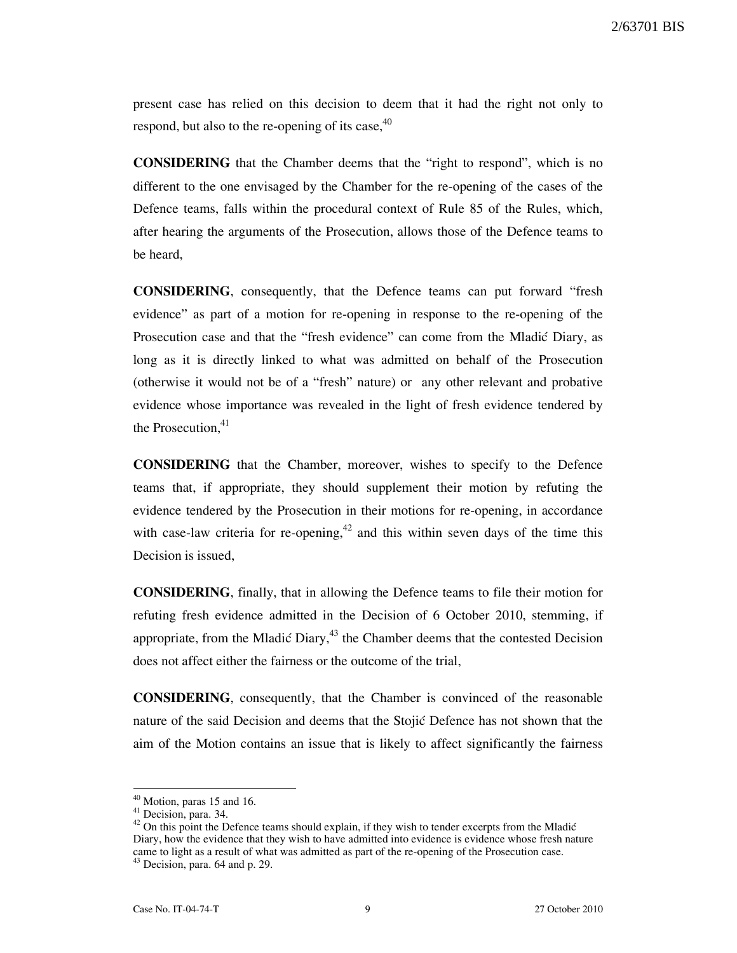2/63701 BIS

present case has relied on this decision to deem that it had the right not only to respond, but also to the re-opening of its case,  $40$ 

CONSIDERING that the Chamber deems that the "right to respond", which is no different to the one envisaged by the Chamber for the re-opening of the cases of the Defence teams, falls within the procedural context of Rule 85 of the Rules, which, after hearing the arguments of the Prosecution, allows those of the Defence teams to be heard,

CONSIDERING, consequently, that the Defence teams can put forward "fresh evidence" as part of a motion for re-opening in response to the re-opening of the Prosecution case and that the "fresh evidence" can come from the Mladić Diary, as long as it is directly linked to what was admitted on behalf of the Prosecution (otherwise it would not be of a "fresh" nature) or any other relevant and probative evidence whose importance was revealed in the light of fresh evidence tendered by the Prosecution. $41$ 

CONSIDERING that the Chamber, moreover, wishes to specify to the Defence teams that, if appropriate, they should supplement their motion by refuting the evidence tendered by the Prosecution in their motions for re-opening, in accordance with case-law criteria for re-opening,  $42$  and this within seven days of the time this Decision is issued,

CONSIDERING, finally, that in allowing the Defence teams to file their motion for refuting fresh evidence admitted in the Decision of 6 October 2010, stemming, if appropriate, from the Mladić Diary, $43$  the Chamber deems that the contested Decision does not affect either the fairness or the outcome of the trial,

CONSIDERING, consequently, that the Chamber is convinced of the reasonable nature of the said Decision and deems that the Stojić Defence has not shown that the aim of the Motion contains an issue that is likely to affect significantly the fairness

 $40$  Motion, paras 15 and 16.

<sup>&</sup>lt;sup>41</sup> Decision, para. 34.

 $42$  On this point the Defence teams should explain, if they wish to tender excerpts from the Mladić Diary, how the evidence that they wish to have admitted into evidence is evidence whose fresh nature came to light as a result of what was admitted as part of the re-opening of the Prosecution case.

 $43$  Decision, para. 64 and p. 29.